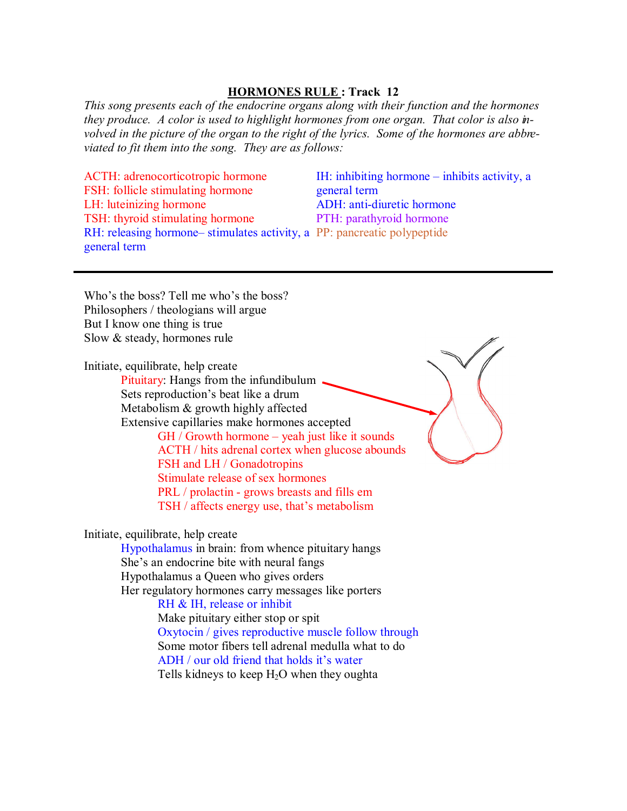## **HORMONES RULE : Track 12**

*This song presents each of the endocrine organs along with their function and the hormones they produce. A color is used to highlight hormones from one organ. That color is also involved in the picture of the organ to the right of the lyrics. Some of the hormones are abbreviated to fit them into the song. They are as follows:* 

ACTH: adrenocorticotropic hormone FSH: follicle stimulating hormone LH: luteinizing hormone TSH: thyroid stimulating hormone RH: releasing hormone– stimulates activity, a PP: pancreatic polypeptide general term

IH: inhibiting hormone – inhibits activity, a general term ADH: anti-diuretic hormone PTH: parathyroid hormone

Who's the boss? Tell me who's the boss? Philosophers / theologians will argue But I know one thing is true Slow & steady, hormones rule

Initiate, equilibrate, help create Pituitary: Hangs from the infundibulum. Sets reproduction's beat like a drum Metabolism & growth highly affected Extensive capillaries make hormones accepted GH / Growth hormone – yeah just like it sounds ACTH / hits adrenal cortex when glucose abounds FSH and LH / Gonadotropins Stimulate release of sex hormones

PRL / prolactin - grows breasts and fills em

TSH / affects energy use, that's metabolism

Initiate, equilibrate, help create

 Hypothalamus in brain: from whence pituitary hangs She's an endocrine bite with neural fangs Hypothalamus a Queen who gives orders Her regulatory hormones carry messages like porters RH & IH, release or inhibit Make pituitary either stop or spit Oxytocin / gives reproductive muscle follow through Some motor fibers tell adrenal medulla what to do ADH / our old friend that holds it's water Tells kidneys to keep  $H_2O$  when they oughta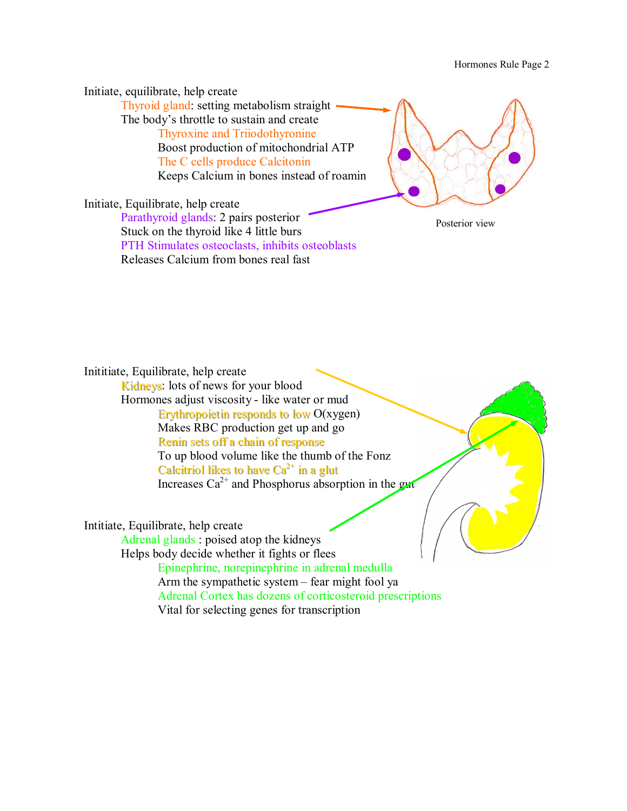Hormones Rule Page 2

Initiate, equilibrate, help create Thyroid gland: setting metabolism straight The body's throttle to sustain and create Thyroxine and Triiodothyronine Boost production of mitochondrial ATP The C cells produce Calcitonin Keeps Calcium in bones instead of roamin Initiate, Equilibrate, help create Parathyroid glands: 2 pairs posterior Posterior view

Stuck on the thyroid like 4 little burs PTH Stimulates osteoclasts, inhibits osteoblasts Releases Calcium from bones real fast

Inititiate, Equilibrate, help create Kidneys: lots of news for your blood Hormones adjust viscosity - like water or mud

 Erythropoietin responds to low O(xygen) Makes RBC production get up and go Renin sets off a chain of response To up blood volume like the thumb of the Fonz Calcitriol likes to have  $Ca^{2+}$  in a glut Increases  $Ca^{2+}$  and Phosphorus absorption in the gut

Intitiate, Equilibrate, help create

Adrenal glands : poised atop the kidneys

Helps body decide whether it fights or flees

 Epinephrine, norepinephrine in adrenal medulla Arm the sympathetic system – fear might fool ya Adrenal Cortex has dozens of corticosteroid prescriptions Vital for selecting genes for transcription